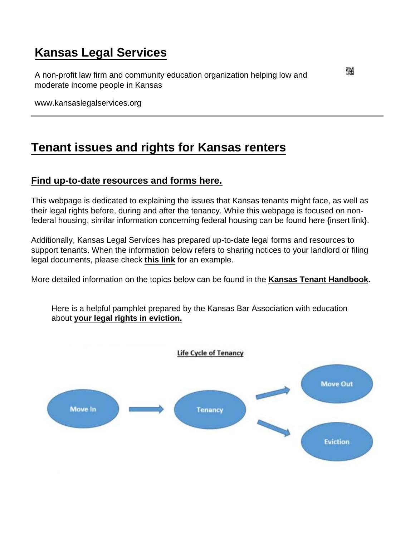## [Kansas Legal Services](https://www.kansaslegalservices.org/)

A non-profit law firm and community education organization helping low and moderate income people in Kansas

www.kansaslegalservices.org

### [Tenant issues and rights for Kansas renters](https://www.kansaslegalservices.org/node/1934/tenant-issues-and-rights-kansas-renters)

#### [Find up-to-date resources and forms here.](https://docs.google.com/document/d/1RgwFY3-obN2bhgBHs6vBBRxRY4MEdqV-QLGiAkhnjDY/edit?usp=sharing)

This webpage is dedicated to explaining the issues that Kansas tenants might face, as well as their legal rights before, during and after the tenancy. While this webpage is focused on nonfederal housing, similar information concerning federal housing can be found here {insert link}.

Additionally, Kansas Legal Services has prepared up-to-date legal forms and resources to support tenants. When the information below refers to sharing notices to your landlord or filing legal documents, please check [this link](https://docs.google.com/document/d/1RgwFY3-obN2bhgBHs6vBBRxRY4MEdqV-QLGiAkhnjDY/edit) for an example.

More detailed information on the topics below can be found in the [Kansas Tenant Handbook](https://www.kansaslegalservices.org/node/2044/kansas-tenant-handbook-and-guide) .

Here is a helpful pamphlet prepared by the Kansas Bar Association with education about [your legal rights in eviction.](https://www.kansaslegalservices.org/sites/kansaslegalservices.org/files/Eviction_Pamphlet_–_March_2021.pdf)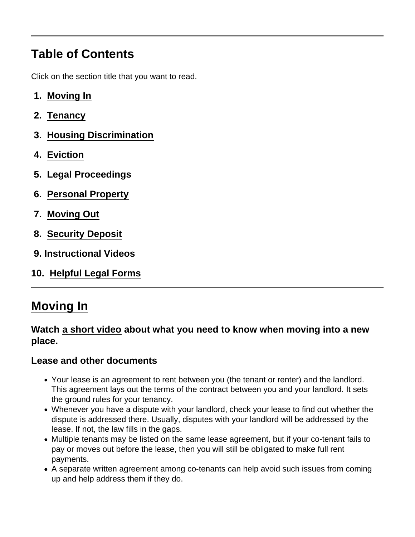# <span id="page-1-0"></span>Table of Contents

Click on the section title that you want to read.

- 1. Moving In
- 2. [Tenancy](#page-3-0)
- 3. [Housing Discrimination](#page-4-0)
- 4. [Eviction](#page-6-0)
- 5. [Legal Proceedings](#page-8-0)
- 6. [Personal Property](#page-10-0)
- 7. [Moving Out](#page-11-0)
- 8. [Security Deposit](#page-13-0)
- 9. [Instructional Videos](#page-14-0)
- 10. [Helpful Legal Forms](#page-15-0)

## Moving In

Watch [a short video](https://youtu.be/Aalt6PS49d8) about what you need to know when moving into a new place.

Lease and other documents

- Your lease is an agreement to rent between you (the tenant or renter) and the landlord. This agreement lays out the terms of the contract between you and your landlord. It sets the ground rules for your tenancy.
- Whenever you have a dispute with your landlord, check your lease to find out whether the dispute is addressed there. Usually, disputes with your landlord will be addressed by the lease. If not, the law fills in the gaps.
- Multiple tenants may be listed on the same lease agreement, but if your co-tenant fails to pay or moves out before the lease, then you will still be obligated to make full rent payments.
- A separate written agreement among co-tenants can help avoid such issues from coming up and help address them if they do.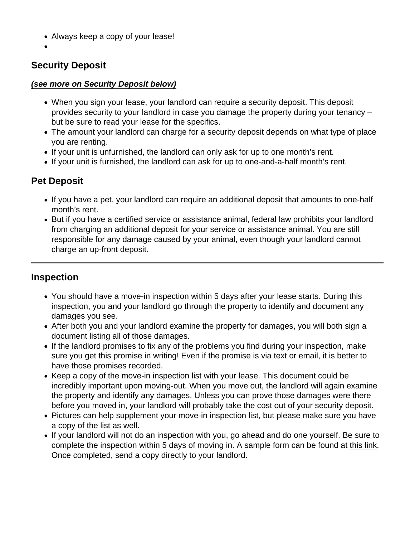- Always keep a copy of your lease!
- 

#### Security Deposit

#### (see more on Security Deposit below)

- When you sign your lease, your landlord can require a security deposit. This deposit provides security to your landlord in case you damage the property during your tenancy – but be sure to read your lease for the specifics.
- The amount your landlord can charge for a security deposit depends on what type of place you are renting.
- If your unit is unfurnished, the landlord can only ask for up to one month's rent.
- If your unit is furnished, the landlord can ask for up to one-and-a-half month's rent.

#### Pet Deposit

- If you have a pet, your landlord can require an additional deposit that amounts to one-half month's rent.
- But if you have a certified service or assistance animal, federal law prohibits your landlord from charging an additional deposit for your service or assistance animal. You are still responsible for any damage caused by your animal, even though your landlord cannot charge an up-front deposit.

#### Inspection

- You should have a move-in inspection within 5 days after your lease starts. During this inspection, you and your landlord go through the property to identify and document any damages you see.
- After both you and your landlord examine the property for damages, you will both sign a document listing all of those damages.
- If the landlord promises to fix any of the problems you find during your inspection, make sure you get this promise in writing! Even if the promise is via text or email, it is better to have those promises recorded.
- Keep a copy of the move-in inspection list with your lease. This document could be incredibly important upon moving-out. When you move out, the landlord will again examine the property and identify any damages. Unless you can prove those damages were there before you moved in, your landlord will probably take the cost out of your security deposit.
- Pictures can help supplement your move-in inspection list, but please make sure you have a copy of the list as well.
- If your landlord will not do an inspection with you, go ahead and do one yourself. Be sure to complete the inspection within 5 days of moving in. A sample form can be found at [this link](https://docs.google.com/document/d/1RgwFY3-obN2bhgBHs6vBBRxRY4MEdqV-QLGiAkhnjDY/edit). Once completed, send a copy directly to your landlord.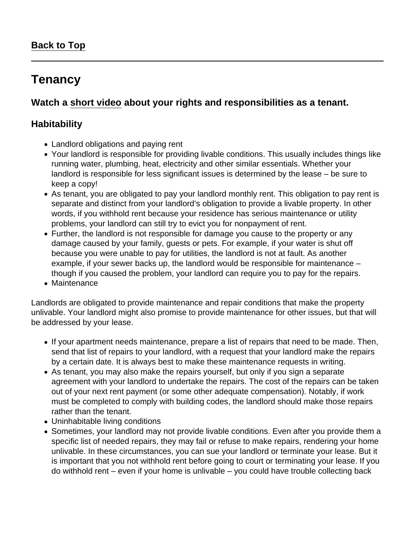### <span id="page-3-0"></span>**Tenancy**

Watch a [short video](https://youtu.be/YDnves2kJaw) about your rights and responsibilities as a tenant.

### **Habitability**

- Landlord obligations and paying rent
- Your landlord is responsible for providing livable conditions. This usually includes things like running water, plumbing, heat, electricity and other similar essentials. Whether your landlord is responsible for less significant issues is determined by the lease – be sure to keep a copy!
- As tenant, you are obligated to pay your landlord monthly rent. This obligation to pay rent is separate and distinct from your landlord's obligation to provide a livable property. In other words, if you withhold rent because your residence has serious maintenance or utility problems, your landlord can still try to evict you for nonpayment of rent.
- Further, the landlord is not responsible for damage you cause to the property or any damage caused by your family, guests or pets. For example, if your water is shut off because you were unable to pay for utilities, the landlord is not at fault. As another example, if your sewer backs up, the landlord would be responsible for maintenance – though if you caused the problem, your landlord can require you to pay for the repairs.
- Maintenance

Landlords are obligated to provide maintenance and repair conditions that make the property unlivable. Your landlord might also promise to provide maintenance for other issues, but that will be addressed by your lease.

- If your apartment needs maintenance, prepare a list of repairs that need to be made. Then, send that list of repairs to your landlord, with a request that your landlord make the repairs by a certain date. It is always best to make these maintenance requests in writing.
- As tenant, you may also make the repairs yourself, but only if you sign a separate agreement with your landlord to undertake the repairs. The cost of the repairs can be taken out of your next rent payment (or some other adequate compensation). Notably, if work must be completed to comply with building codes, the landlord should make those repairs rather than the tenant.
- Uninhabitable living conditions
- Sometimes, your landlord may not provide livable conditions. Even after you provide them a specific list of needed repairs, they may fail or refuse to make repairs, rendering your home unlivable. In these circumstances, you can sue your landlord or terminate your lease. But it is important that you not withhold rent before going to court or terminating your lease. If you do withhold rent – even if your home is unlivable – you could have trouble collecting back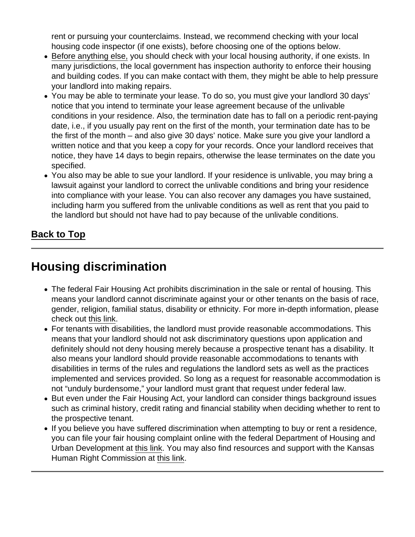<span id="page-4-0"></span>rent or pursuing your counterclaims. Instead, we recommend checking with your local housing code inspector (if one exists), before choosing one of the options below.

- Before anything else, you should check with your local housing authority, if one exists. In many jurisdictions, the local government has inspection authority to enforce their housing and building codes. If you can make contact with them, they might be able to help pressure your landlord into making repairs.
- You may be able to terminate your lease. To do so, you must give your landlord 30 days' notice that you intend to terminate your lease agreement because of the unlivable conditions in your residence. Also, the termination date has to fall on a periodic rent-paying date, i.e., if you usually pay rent on the first of the month, your termination date has to be the first of the month – and also give 30 days' notice. Make sure you give your landlord a written notice and that you keep a copy for your records. Once your landlord receives that notice, they have 14 days to begin repairs, otherwise the lease terminates on the date you specified.
- You also may be able to sue your landlord. If your residence is unlivable, you may bring a lawsuit against your landlord to correct the unlivable conditions and bring your residence into compliance with your lease. You can also recover any damages you have sustained, including harm you suffered from the unlivable conditions as well as rent that you paid to the landlord but should not have had to pay because of the unlivable conditions.

[Back to Top](#page-1-0)

## Housing discrimination

- The federal Fair Housing Act prohibits discrimination in the sale or rental of housing. This means your landlord cannot discriminate against your or other tenants on the basis of race, gender, religion, familial status, disability or ethnicity. For more in-depth information, please check out [this link.](https://www.kansaslegalservices.org/node/1925/fair-housing-rights-protect-you-under-law)
- For tenants with disabilities, the landlord must provide reasonable accommodations. This means that your landlord should not ask discriminatory questions upon application and definitely should not deny housing merely because a prospective tenant has a disability. It also means your landlord should provide reasonable accommodations to tenants with disabilities in terms of the rules and regulations the landlord sets as well as the practices implemented and services provided. So long as a request for reasonable accommodation is not "unduly burdensome," your landlord must grant that request under federal law.
- But even under the Fair Housing Act, your landlord can consider things background issues such as criminal history, credit rating and financial stability when deciding whether to rent to the prospective tenant.
- If you believe you have suffered discrimination when attempting to buy or rent a residence, you can file your fair housing complaint online with the federal Department of Housing and Urban Development at [this link](https://www.hud.gov/program_offices/fair_housing_equal_opp/online-complaint). You may also find resources and support with the Kansas Human Right Commission at [this link](http://www.khrc.net/complaint.html).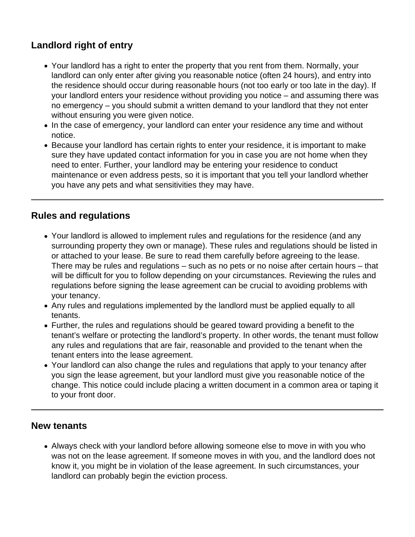### **Landlord right of entry**

- Your landlord has a right to enter the property that you rent from them. Normally, your landlord can only enter after giving you reasonable notice (often 24 hours), and entry into the residence should occur during reasonable hours (not too early or too late in the day). If your landlord enters your residence without providing you notice – and assuming there was no emergency – you should submit a written demand to your landlord that they not enter without ensuring you were given notice.
- In the case of emergency, your landlord can enter your residence any time and without notice.
- Because your landlord has certain rights to enter your residence, it is important to make sure they have updated contact information for you in case you are not home when they need to enter. Further, your landlord may be entering your residence to conduct maintenance or even address pests, so it is important that you tell your landlord whether you have any pets and what sensitivities they may have.

### **Rules and regulations**

- Your landlord is allowed to implement rules and regulations for the residence (and any surrounding property they own or manage). These rules and regulations should be listed in or attached to your lease. Be sure to read them carefully before agreeing to the lease. There may be rules and regulations – such as no pets or no noise after certain hours – that will be difficult for you to follow depending on your circumstances. Reviewing the rules and regulations before signing the lease agreement can be crucial to avoiding problems with your tenancy.
- Any rules and regulations implemented by the landlord must be applied equally to all tenants.
- Further, the rules and regulations should be geared toward providing a benefit to the tenant's welfare or protecting the landlord's property. In other words, the tenant must follow any rules and regulations that are fair, reasonable and provided to the tenant when the tenant enters into the lease agreement.
- Your landlord can also change the rules and regulations that apply to your tenancy after you sign the lease agreement, but your landlord must give you reasonable notice of the change. This notice could include placing a written document in a common area or taping it to your front door.

#### **New tenants**

Always check with your landlord before allowing someone else to move in with you who was not on the lease agreement. If someone moves in with you, and the landlord does not know it, you might be in violation of the lease agreement. In such circumstances, your landlord can probably begin the eviction process.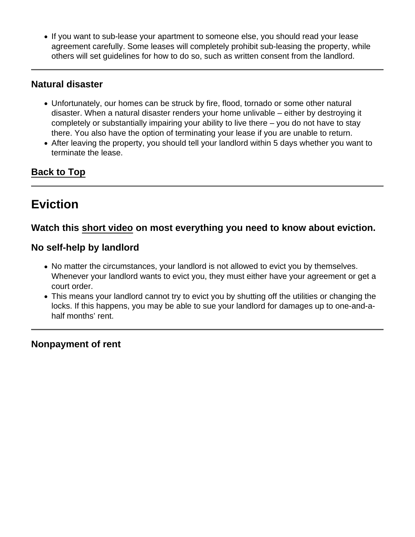<span id="page-6-0"></span>If you want to sub-lease your apartment to someone else, you should read your lease agreement carefully. Some leases will completely prohibit sub-leasing the property, while others will set guidelines for how to do so, such as written consent from the landlord.

### Natural disaster

- Unfortunately, our homes can be struck by fire, flood, tornado or some other natural disaster. When a natural disaster renders your home unlivable – either by destroying it completely or substantially impairing your ability to live there – you do not have to stay there. You also have the option of terminating your lease if you are unable to return.
- After leaving the property, you should tell your landlord within 5 days whether you want to terminate the lease.

[Back to Top](#page-1-0)

### **Eviction**

Watch this [short video](https://youtu.be/qnOBb0pE3vY) on most everything you need to know about eviction.

No self-help by landlord

- No matter the circumstances, your landlord is not allowed to evict you by themselves. Whenever your landlord wants to evict you, they must either have your agreement or get a court order.
- This means your landlord cannot try to evict you by shutting off the utilities or changing the locks. If this happens, you may be able to sue your landlord for damages up to one-and-ahalf months' rent.

Nonpayment of rent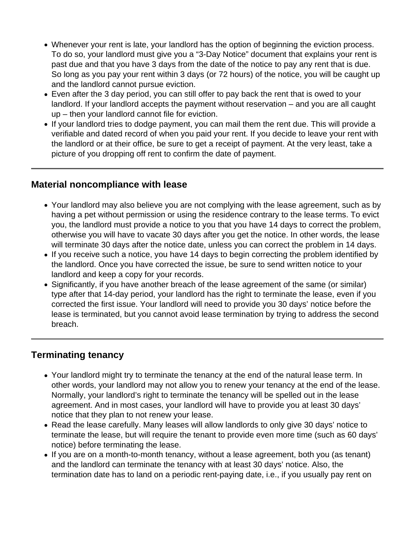- Whenever your rent is late, your landlord has the option of beginning the eviction process. To do so, your landlord must give you a "3-Day Notice" document that explains your rent is past due and that you have 3 days from the date of the notice to pay any rent that is due. So long as you pay your rent within 3 days (or 72 hours) of the notice, you will be caught up and the landlord cannot pursue eviction.
- Even after the 3 day period, you can still offer to pay back the rent that is owed to your landlord. If your landlord accepts the payment without reservation – and you are all caught up – then your landlord cannot file for eviction.
- If your landlord tries to dodge payment, you can mail them the rent due. This will provide a verifiable and dated record of when you paid your rent. If you decide to leave your rent with the landlord or at their office, be sure to get a receipt of payment. At the very least, take a picture of you dropping off rent to confirm the date of payment.

### **Material noncompliance with lease**

- Your landlord may also believe you are not complying with the lease agreement, such as by having a pet without permission or using the residence contrary to the lease terms. To evict you, the landlord must provide a notice to you that you have 14 days to correct the problem, otherwise you will have to vacate 30 days after you get the notice. In other words, the lease will terminate 30 days after the notice date, unless you can correct the problem in 14 days.
- If you receive such a notice, you have 14 days to begin correcting the problem identified by the landlord. Once you have corrected the issue, be sure to send written notice to your landlord and keep a copy for your records.
- Significantly, if you have another breach of the lease agreement of the same (or similar) type after that 14-day period, your landlord has the right to terminate the lease, even if you corrected the first issue. Your landlord will need to provide you 30 days' notice before the lease is terminated, but you cannot avoid lease termination by trying to address the second breach.

### **Terminating tenancy**

- Your landlord might try to terminate the tenancy at the end of the natural lease term. In other words, your landlord may not allow you to renew your tenancy at the end of the lease. Normally, your landlord's right to terminate the tenancy will be spelled out in the lease agreement. And in most cases, your landlord will have to provide you at least 30 days' notice that they plan to not renew your lease.
- Read the lease carefully. Many leases will allow landlords to only give 30 days' notice to terminate the lease, but will require the tenant to provide even more time (such as 60 days' notice) before terminating the lease.
- If you are on a month-to-month tenancy, without a lease agreement, both you (as tenant) and the landlord can terminate the tenancy with at least 30 days' notice. Also, the termination date has to land on a periodic rent-paying date, i.e., if you usually pay rent on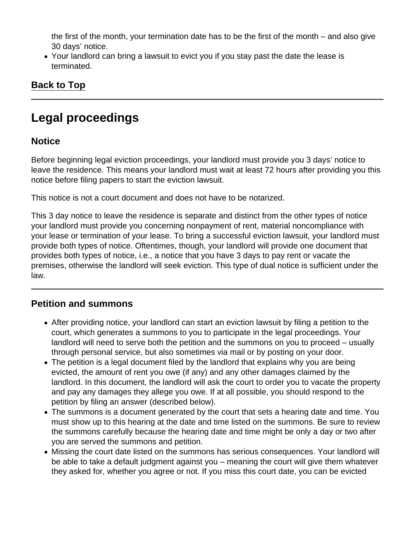<span id="page-8-0"></span>the first of the month, your termination date has to be the first of the month – and also give 30 days' notice.

Your landlord can bring a lawsuit to evict you if you stay past the date the lease is terminated.

[Back to Top](#page-1-0)

## Legal proceedings

### **Notice**

Before beginning legal eviction proceedings, your landlord must provide you 3 days' notice to leave the residence. This means your landlord must wait at least 72 hours after providing you this notice before filing papers to start the eviction lawsuit.

This notice is not a court document and does not have to be notarized.

This 3 day notice to leave the residence is separate and distinct from the other types of notice your landlord must provide you concerning nonpayment of rent, material noncompliance with your lease or termination of your lease. To bring a successful eviction lawsuit, your landlord must provide both types of notice. Oftentimes, though, your landlord will provide one document that provides both types of notice, i.e., a notice that you have 3 days to pay rent or vacate the premises, otherwise the landlord will seek eviction. This type of dual notice is sufficient under the law.

### Petition and summons

- After providing notice, your landlord can start an eviction lawsuit by filing a petition to the court, which generates a summons to you to participate in the legal proceedings. Your landlord will need to serve both the petition and the summons on you to proceed – usually through personal service, but also sometimes via mail or by posting on your door.
- The petition is a legal document filed by the landlord that explains why you are being evicted, the amount of rent you owe (if any) and any other damages claimed by the landlord. In this document, the landlord will ask the court to order you to vacate the property and pay any damages they allege you owe. If at all possible, you should respond to the petition by filing an answer (described below).
- The summons is a document generated by the court that sets a hearing date and time. You must show up to this hearing at the date and time listed on the summons. Be sure to review the summons carefully because the hearing date and time might be only a day or two after you are served the summons and petition.
- Missing the court date listed on the summons has serious consequences. Your landlord will be able to take a default judgment against you – meaning the court will give them whatever they asked for, whether you agree or not. If you miss this court date, you can be evicted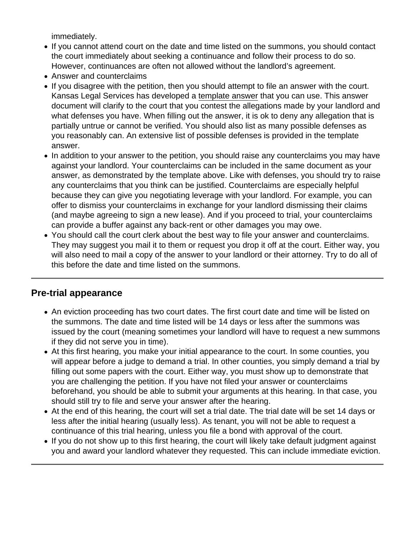immediately.

- If you cannot attend court on the date and time listed on the summons, you should contact the court immediately about seeking a continuance and follow their process to do so. However, continuances are often not allowed without the landlord's agreement.
- Answer and counterclaims
- If you disagree with the petition, then you should attempt to file an answer with the court. Kansas Legal Services has developed a [template answer](https://docs.google.com/document/d/1jfJPEo0gNJRei0c6GYSC9HBc8a3CB5a8McjdCKZ0ISQ/edit) that you can use. This answer document will clarify to the court that you contest the allegations made by your landlord and what defenses you have. When filling out the answer, it is ok to deny any allegation that is partially untrue or cannot be verified. You should also list as many possible defenses as you reasonably can. An extensive list of possible defenses is provided in the template answer.
- In addition to your answer to the petition, you should raise any counterclaims you may have against your landlord. Your counterclaims can be included in the same document as your answer, as demonstrated by the template above. Like with defenses, you should try to raise any counterclaims that you think can be justified. Counterclaims are especially helpful because they can give you negotiating leverage with your landlord. For example, you can offer to dismiss your counterclaims in exchange for your landlord dismissing their claims (and maybe agreeing to sign a new lease). And if you proceed to trial, your counterclaims can provide a buffer against any back-rent or other damages you may owe.
- You should call the court clerk about the best way to file your answer and counterclaims. They may suggest you mail it to them or request you drop it off at the court. Either way, you will also need to mail a copy of the answer to your landlord or their attorney. Try to do all of this before the date and time listed on the summons.

#### Pre-trial appearance

- An eviction proceeding has two court dates. The first court date and time will be listed on the summons. The date and time listed will be 14 days or less after the summons was issued by the court (meaning sometimes your landlord will have to request a new summons if they did not serve you in time).
- At this first hearing, you make your initial appearance to the court. In some counties, you will appear before a judge to demand a trial. In other counties, you simply demand a trial by filling out some papers with the court. Either way, you must show up to demonstrate that you are challenging the petition. If you have not filed your answer or counterclaims beforehand, you should be able to submit your arguments at this hearing. In that case, you should still try to file and serve your answer after the hearing.
- At the end of this hearing, the court will set a trial date. The trial date will be set 14 days or less after the initial hearing (usually less). As tenant, you will not be able to request a continuance of this trial hearing, unless you file a bond with approval of the court.
- If you do not show up to this first hearing, the court will likely take default judgment against you and award your landlord whatever they requested. This can include immediate eviction.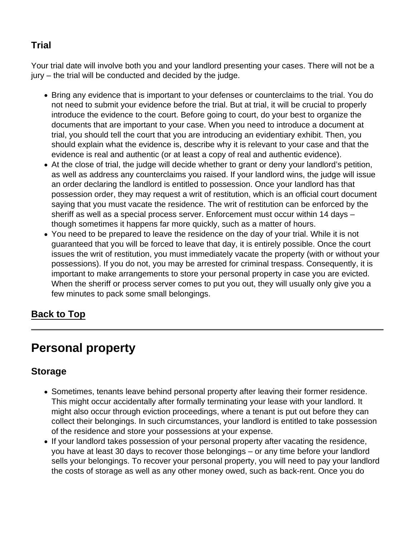### <span id="page-10-0"></span>**Trial**

Your trial date will involve both you and your landlord presenting your cases. There will not be a jury – the trial will be conducted and decided by the judge.

- Bring any evidence that is important to your defenses or counterclaims to the trial. You do not need to submit your evidence before the trial. But at trial, it will be crucial to properly introduce the evidence to the court. Before going to court, do your best to organize the documents that are important to your case. When you need to introduce a document at trial, you should tell the court that you are introducing an evidentiary exhibit. Then, you should explain what the evidence is, describe why it is relevant to your case and that the evidence is real and authentic (or at least a copy of real and authentic evidence).
- At the close of trial, the judge will decide whether to grant or deny your landlord's petition, as well as address any counterclaims you raised. If your landlord wins, the judge will issue an order declaring the landlord is entitled to possession. Once your landlord has that possession order, they may request a writ of restitution, which is an official court document saying that you must vacate the residence. The writ of restitution can be enforced by the sheriff as well as a special process server. Enforcement must occur within 14 days – though sometimes it happens far more quickly, such as a matter of hours.
- You need to be prepared to leave the residence on the day of your trial. While it is not guaranteed that you will be forced to leave that day, it is entirely possible. Once the court issues the writ of restitution, you must immediately vacate the property (with or without your possessions). If you do not, you may be arrested for criminal trespass. Consequently, it is important to make arrangements to store your personal property in case you are evicted. When the sheriff or process server comes to put you out, they will usually only give you a few minutes to pack some small belongings.

[Back to Top](#page-1-0)

## Personal property

### Storage

- Sometimes, tenants leave behind personal property after leaving their former residence. This might occur accidentally after formally terminating your lease with your landlord. It might also occur through eviction proceedings, where a tenant is put out before they can collect their belongings. In such circumstances, your landlord is entitled to take possession of the residence and store your possessions at your expense.
- If your landlord takes possession of your personal property after vacating the residence, you have at least 30 days to recover those belongings – or any time before your landlord sells your belongings. To recover your personal property, you will need to pay your landlord the costs of storage as well as any other money owed, such as back-rent. Once you do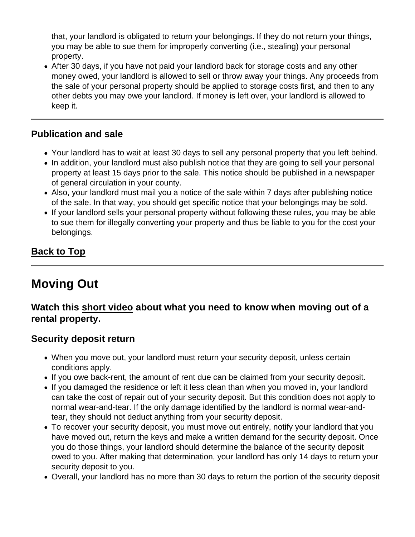<span id="page-11-0"></span>that, your landlord is obligated to return your belongings. If they do not return your things, you may be able to sue them for improperly converting (i.e., stealing) your personal property.

• After 30 days, if you have not paid your landlord back for storage costs and any other money owed, your landlord is allowed to sell or throw away your things. Any proceeds from the sale of your personal property should be applied to storage costs first, and then to any other debts you may owe your landlord. If money is left over, your landlord is allowed to keep it.

#### Publication and sale

- Your landlord has to wait at least 30 days to sell any personal property that you left behind.
- In addition, your landlord must also publish notice that they are going to sell your personal property at least 15 days prior to the sale. This notice should be published in a newspaper of general circulation in your county.
- Also, your landlord must mail you a notice of the sale within 7 days after publishing notice of the sale. In that way, you should get specific notice that your belongings may be sold.
- If your landlord sells your personal property without following these rules, you may be able to sue them for illegally converting your property and thus be liable to you for the cost your belongings.

### [Back to Top](#page-1-0)

### Moving Out

Watch this [short video](https://youtu.be/h9lUOiEbVT0) about what you need to know when moving out of a rental property.

### Security deposit return

- When you move out, your landlord must return your security deposit, unless certain conditions apply.
- If you owe back-rent, the amount of rent due can be claimed from your security deposit.
- If you damaged the residence or left it less clean than when you moved in, your landlord can take the cost of repair out of your security deposit. But this condition does not apply to normal wear-and-tear. If the only damage identified by the landlord is normal wear-andtear, they should not deduct anything from your security deposit.
- To recover your security deposit, you must move out entirely, notify your landlord that you have moved out, return the keys and make a written demand for the security deposit. Once you do those things, your landlord should determine the balance of the security deposit owed to you. After making that determination, your landlord has only 14 days to return your security deposit to you.
- Overall, your landlord has no more than 30 days to return the portion of the security deposit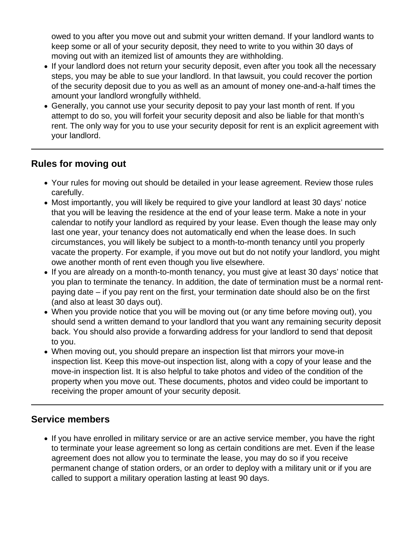owed to you after you move out and submit your written demand. If your landlord wants to keep some or all of your security deposit, they need to write to you within 30 days of moving out with an itemized list of amounts they are withholding.

- If your landlord does not return your security deposit, even after you took all the necessary steps, you may be able to sue your landlord. In that lawsuit, you could recover the portion of the security deposit due to you as well as an amount of money one-and-a-half times the amount your landlord wrongfully withheld.
- Generally, you cannot use your security deposit to pay your last month of rent. If you attempt to do so, you will forfeit your security deposit and also be liable for that month's rent. The only way for you to use your security deposit for rent is an explicit agreement with your landlord.

### **Rules for moving out**

- Your rules for moving out should be detailed in your lease agreement. Review those rules carefully.
- Most importantly, you will likely be required to give your landlord at least 30 days' notice that you will be leaving the residence at the end of your lease term. Make a note in your calendar to notify your landlord as required by your lease. Even though the lease may only last one year, your tenancy does not automatically end when the lease does. In such circumstances, you will likely be subject to a month-to-month tenancy until you properly vacate the property. For example, if you move out but do not notify your landlord, you might owe another month of rent even though you live elsewhere.
- If you are already on a month-to-month tenancy, you must give at least 30 days' notice that you plan to terminate the tenancy. In addition, the date of termination must be a normal rentpaying date – if you pay rent on the first, your termination date should also be on the first (and also at least 30 days out).
- When you provide notice that you will be moving out (or any time before moving out), you should send a written demand to your landlord that you want any remaining security deposit back. You should also provide a forwarding address for your landlord to send that deposit to you.
- When moving out, you should prepare an inspection list that mirrors your move-in inspection list. Keep this move-out inspection list, along with a copy of your lease and the move-in inspection list. It is also helpful to take photos and video of the condition of the property when you move out. These documents, photos and video could be important to receiving the proper amount of your security deposit.

### **Service members**

If you have enrolled in military service or are an active service member, you have the right to terminate your lease agreement so long as certain conditions are met. Even if the lease agreement does not allow you to terminate the lease, you may do so if you receive permanent change of station orders, or an order to deploy with a military unit or if you are called to support a military operation lasting at least 90 days.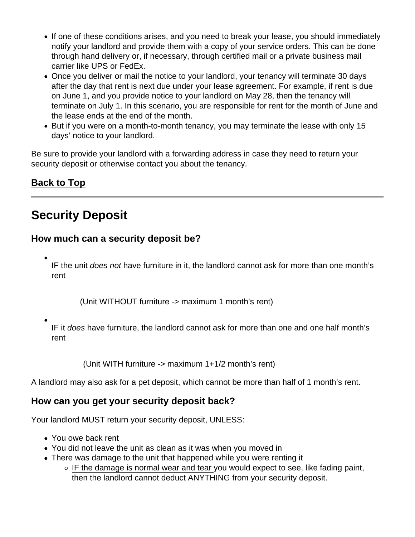- <span id="page-13-0"></span>• If one of these conditions arises, and you need to break your lease, you should immediately notify your landlord and provide them with a copy of your service orders. This can be done through hand delivery or, if necessary, through certified mail or a private business mail carrier like UPS or FedEx.
- Once you deliver or mail the notice to your landlord, your tenancy will terminate 30 days after the day that rent is next due under your lease agreement. For example, if rent is due on June 1, and you provide notice to your landlord on May 28, then the tenancy will terminate on July 1. In this scenario, you are responsible for rent for the month of June and the lease ends at the end of the month.
- But if you were on a month-to-month tenancy, you may terminate the lease with only 15 days' notice to your landlord.

Be sure to provide your landlord with a forwarding address in case they need to return your security deposit or otherwise contact you about the tenancy.

[Back to Top](#page-1-0)

# Security Deposit

How much can a security deposit be?

- IF the unit does not have furniture in it, the landlord cannot ask for more than one month's rent
	- (Unit WITHOUT furniture -> maximum 1 month's rent)
- IF it does have furniture, the landlord cannot ask for more than one and one half month's rent

(Unit WITH furniture -> maximum 1+1/2 month's rent)

A landlord may also ask for a pet deposit, which cannot be more than half of 1 month's rent.

How can you get your security deposit back?

Your landlord MUST return your security deposit, UNLESS:

- You owe back rent
- You did not leave the unit as clean as it was when you moved in
- There was damage to the unit that happened while you were renting it
	- $\circ$  IF the damage is normal wear and tear you would expect to see, like fading paint, then the landlord cannot deduct ANYTHING from your security deposit.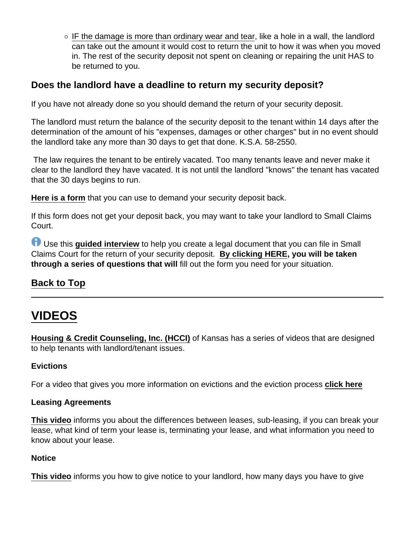<span id="page-14-0"></span> $\circ$  IF the damage is more than ordinary wear and tear, like a hole in a wall, the landlord can take out the amount it would cost to return the unit to how it was when you moved in. The rest of the security deposit not spent on cleaning or repairing the unit HAS to be returned to you.

Does the landlord have a deadline to return my security deposit?

If you have not already done so you should demand the return of your security deposit.

The landlord must return the balance of the security deposit to the tenant within 14 days after the determination of the amount of his "expenses, damages or other charges" but in no event should the landlord take any more than 30 days to get that done. K.S.A. 58-2550.

 The law requires the tenant to be entirely vacated. Too many tenants leave and never make it clear to the landlord they have vacated. It is not until the landlord "knows" the tenant has vacated that the 30 days begins to run.

[Here is a form](https://www.kansaslegalservices.org/sites/kansaslegalservices.org/files/FORM Demand for Return of Security Deposit (1).pdf) that you can use to demand your security deposit back.

If this form does not get your deposit back, you may want to take your landlord to Small Claims Court.

 Use this [guided interview](https://lawhelpinteractive.org/Interview/GenerateInterview/4848/engine) to help you create a legal document that you can file in Small Claims Court for the return of your security deposit. [By clicking HERE](https://lawhelpinteractive.org/Interview/GenerateInterview/4848/engine) , you will be taken through a series of questions that will fill out the form you need for your situation.

[Back to Top](#page-1-0)

# VIDEOS

[Housing & Credit Counseling, Inc. \(HCCI\)](https://housingandcredit.org/) of Kansas has a series of videos that are designed to help tenants with landlord/tenant issues.

**Evictions** 

For a video that gives you more information on evictions and the eviction process [click here](https://www.youtube.com/watch?v=bzKS6dnCY2E&list=PLBhwgb-UywkZ2VQ7O8AmnWxAmmucWVEqr&index=3)

Leasing Agreements

[This video](https://www.youtube.com/watch?v=kFTlmmEVrZk&index=1&list=PLBhwgb-UywkZ2VQ7O8AmnWxAmmucWVEqr) informs you about the differences between leases, sub-leasing, if you can break your lease, what kind of term your lease is, terminating your lease, and what information you need to know about your lease.

**Notice** 

[This video](https://www.youtube.com/watch?v=PquE6umyrrI&index=2&list=PLBhwgb-UywkZ2VQ7O8AmnWxAmmucWVEqr) informs you how to give notice to your landlord, how many days you have to give